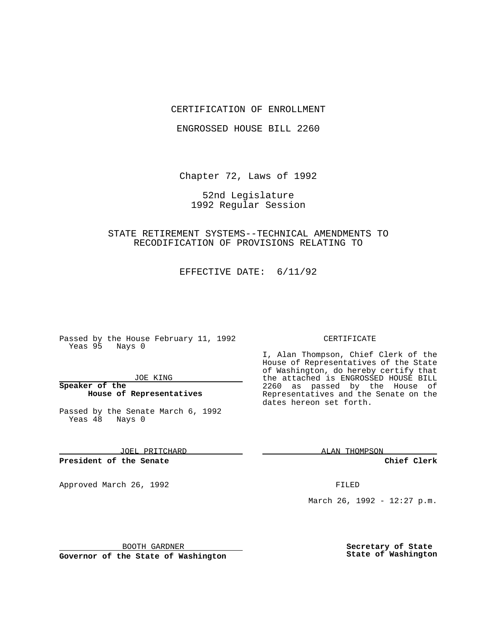#### CERTIFICATION OF ENROLLMENT

ENGROSSED HOUSE BILL 2260

Chapter 72, Laws of 1992

52nd Legislature 1992 Regular Session

# STATE RETIREMENT SYSTEMS--TECHNICAL AMENDMENTS TO RECODIFICATION OF PROVISIONS RELATING TO

EFFECTIVE DATE: 6/11/92

Passed by the House February 11, 1992 Yeas 95 Nays 0

#### JOE KING

### **Speaker of the House of Representatives**

Passed by the Senate March 6, 1992 Yeas 48 Nays 0

JOEL PRITCHARD

#### **President of the Senate**

Approved March 26, 1992 **FILED** 

#### CERTIFICATE

I, Alan Thompson, Chief Clerk of the House of Representatives of the State of Washington, do hereby certify that the attached is ENGROSSED HOUSE BILL 2260 as passed by the House of Representatives and the Senate on the dates hereon set forth.

ALAN THOMPSON

**Chief Clerk**

March 26, 1992 - 12:27 p.m.

BOOTH GARDNER

**Governor of the State of Washington**

**Secretary of State State of Washington**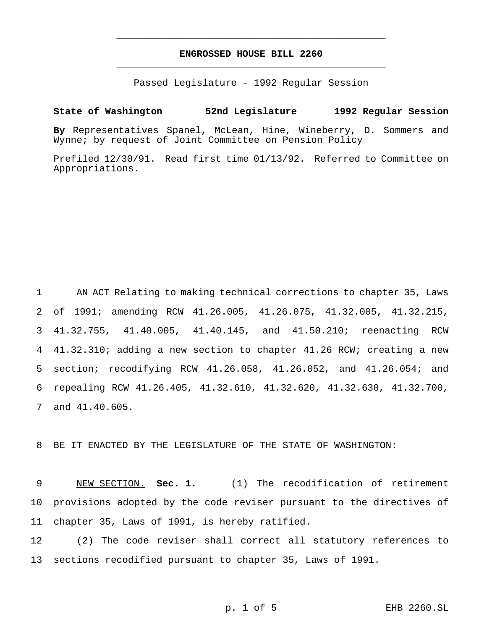# **ENGROSSED HOUSE BILL 2260** \_\_\_\_\_\_\_\_\_\_\_\_\_\_\_\_\_\_\_\_\_\_\_\_\_\_\_\_\_\_\_\_\_\_\_\_\_\_\_\_\_\_\_\_\_\_\_

\_\_\_\_\_\_\_\_\_\_\_\_\_\_\_\_\_\_\_\_\_\_\_\_\_\_\_\_\_\_\_\_\_\_\_\_\_\_\_\_\_\_\_\_\_\_\_

Passed Legislature - 1992 Regular Session

# **State of Washington 52nd Legislature 1992 Regular Session**

**By** Representatives Spanel, McLean, Hine, Wineberry, D. Sommers and Wynne; by request of Joint Committee on Pension Policy

Prefiled 12/30/91. Read first time 01/13/92. Referred to Committee on Appropriations.

 AN ACT Relating to making technical corrections to chapter 35, Laws of 1991; amending RCW 41.26.005, 41.26.075, 41.32.005, 41.32.215, 41.32.755, 41.40.005, 41.40.145, and 41.50.210; reenacting RCW 41.32.310; adding a new section to chapter 41.26 RCW; creating a new section; recodifying RCW 41.26.058, 41.26.052, and 41.26.054; and repealing RCW 41.26.405, 41.32.610, 41.32.620, 41.32.630, 41.32.700, and 41.40.605.

8 BE IT ENACTED BY THE LEGISLATURE OF THE STATE OF WASHINGTON:

9 NEW SECTION. **Sec. 1.** (1) The recodification of retirement 10 provisions adopted by the code reviser pursuant to the directives of 11 chapter 35, Laws of 1991, is hereby ratified.

12 (2) The code reviser shall correct all statutory references to 13 sections recodified pursuant to chapter 35, Laws of 1991.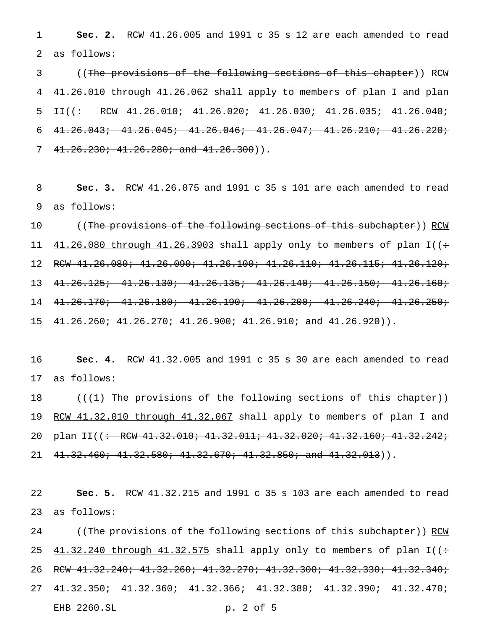1 **Sec. 2.** RCW 41.26.005 and 1991 c 35 s 12 are each amended to read 2 as follows:

3 ((The provisions of the following sections of this chapter)) RCW 4 41.26.010 through 41.26.062 shall apply to members of plan I and plan 5 II((<del>: RCW 41.26.010; 41.26.020; 41.26.030; 41.26.035; 41.26.040;</del> 6 41.26.043; 41.26.045; 41.26.046; 41.26.047; 41.26.210; 41.26.220; 7  $41.26.230; 41.26.280;$  and  $41.26.300)$ .

8 **Sec. 3.** RCW 41.26.075 and 1991 c 35 s 101 are each amended to read 9 as follows:

10 ((<del>The provisions of the following sections of this subchapter</del>)) <u>RCW</u>  $41.26.080$  through  $41.26.3903$  shall apply only to members of plan I((÷ RCW 41.26.080; 41.26.090; 41.26.100; 41.26.110; 41.26.115; 41.26.120; 41.26.125; 41.26.130; 41.26.135; 41.26.140; 41.26.150; 41.26.160; 41.26.170; 41.26.180; 41.26.190; 41.26.200; 41.26.240; 41.26.250;  $41.26.260$ ;  $41.26.270$ ;  $41.26.900$ ;  $41.26.910$ ; and  $41.26.920)$ ).

16 **Sec. 4.** RCW 41.32.005 and 1991 c 35 s 30 are each amended to read 17 as follows:

18 ((<del>(1) The provisions of the following sections of this chapter</del>)) 19 RCW 41.32.010 through 41.32.067 shall apply to members of plan I and 20 plan II((<del>: RCW 41.32.010; 41.32.011; 41.32.020; 41.32.160; 41.32.242;</del> 21  $41.32.460; 41.32.580; 41.32.670; 41.32.850; and 41.32.013)$ .

22 **Sec. 5.** RCW 41.32.215 and 1991 c 35 s 103 are each amended to read 23 as follows:

24 ((The provisions of the following sections of this subchapter)) RCW 25  $41.32.240$  through  $41.32.575$  shall apply only to members of plan I( $($ : 26 RCW 41.32.240; 41.32.260; 41.32.270; 41.32.300; 41.32.330; 41.32.340; 27 41.32.350; 41.32.360; 41.32.366; 41.32.380; 41.32.390; 41.32.470; EHB 2260.SL p. 2 of 5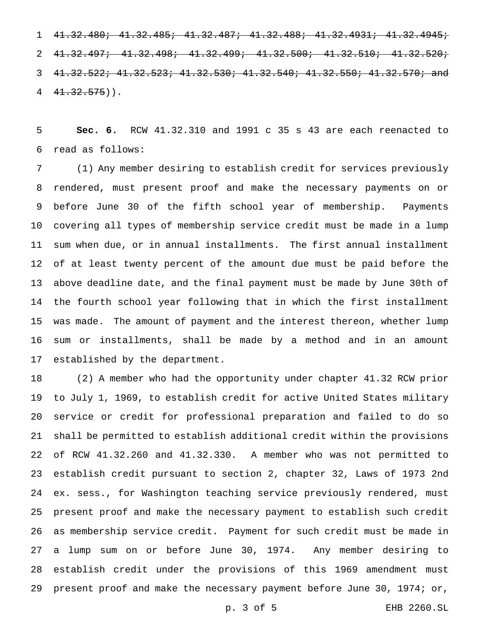41.32.480; 41.32.485; 41.32.487; 41.32.488; 41.32.4931; 41.32.4945; 41.32.497; 41.32.498; 41.32.499; 41.32.500; 41.32.510; 41.32.520; 41.32.522; 41.32.523; 41.32.530; 41.32.540; 41.32.550; 41.32.570; and  $4\overline{1.32.575})$ .

 **Sec. 6.** RCW 41.32.310 and 1991 c 35 s 43 are each reenacted to read as follows:

 (1) Any member desiring to establish credit for services previously rendered, must present proof and make the necessary payments on or before June 30 of the fifth school year of membership. Payments covering all types of membership service credit must be made in a lump sum when due, or in annual installments. The first annual installment of at least twenty percent of the amount due must be paid before the above deadline date, and the final payment must be made by June 30th of the fourth school year following that in which the first installment was made. The amount of payment and the interest thereon, whether lump sum or installments, shall be made by a method and in an amount established by the department.

 (2) A member who had the opportunity under chapter 41.32 RCW prior to July 1, 1969, to establish credit for active United States military service or credit for professional preparation and failed to do so shall be permitted to establish additional credit within the provisions of RCW 41.32.260 and 41.32.330. A member who was not permitted to establish credit pursuant to section 2, chapter 32, Laws of 1973 2nd ex. sess., for Washington teaching service previously rendered, must present proof and make the necessary payment to establish such credit as membership service credit. Payment for such credit must be made in a lump sum on or before June 30, 1974. Any member desiring to establish credit under the provisions of this 1969 amendment must present proof and make the necessary payment before June 30, 1974; or,

p. 3 of 5 EHB 2260.SL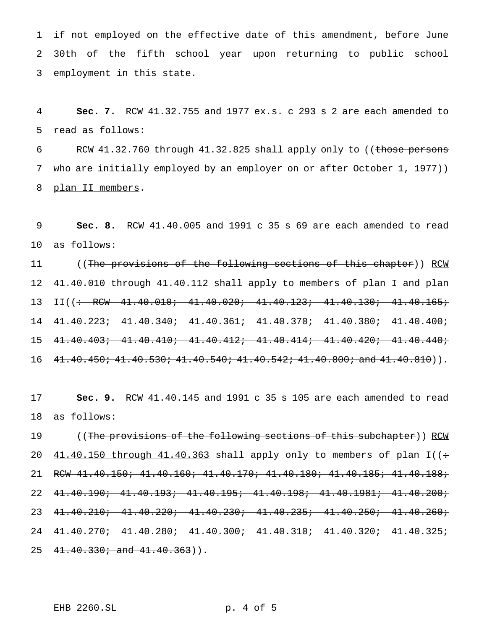if not employed on the effective date of this amendment, before June 30th of the fifth school year upon returning to public school employment in this state.

 **Sec. 7.** RCW 41.32.755 and 1977 ex.s. c 293 s 2 are each amended to read as follows:

6 RCW 41.32.760 through 41.32.825 shall apply only to ((those persons 7 who are initially employed by an employer on or after October 1, 1977)) 8 plan II members.

 **Sec. 8.** RCW 41.40.005 and 1991 c 35 s 69 are each amended to read as follows:

11 ((The provisions of the following sections of this chapter)) RCW 12 41.40.010 through 41.40.112 shall apply to members of plan I and plan 13 II((<del>: RCW 41.40.010; 41.40.020; 41.40.123; 41.40.130; 41.40.165;</del> 41.40.223; 41.40.340; 41.40.361; 41.40.370; 41.40.380; 41.40.400; 41.40.403; 41.40.410; 41.40.412; 41.40.414; 41.40.420; 41.40.440; 16  $41.40.450; 41.40.530; 41.40.540; 41.40.542; 41.40.800; and 41.40.810)$ .

 **Sec. 9.** RCW 41.40.145 and 1991 c 35 s 105 are each amended to read as follows:

19 ((The provisions of the following sections of this subchapter)) RCW  $41.40.150$  through  $41.40.363$  shall apply only to members of plan I((: RCW 41.40.150; 41.40.160; 41.40.170; 41.40.180; 41.40.185; 41.40.188; 41.40.190; 41.40.193; 41.40.195; 41.40.198; 41.40.1981; 41.40.200; 41.40.210; 41.40.220; 41.40.230; 41.40.235; 41.40.250; 41.40.260; 41.40.270; 41.40.280; 41.40.300; 41.40.310; 41.40.320; 41.40.325;  $41.40.330$ ; and  $41.40.363$ ).